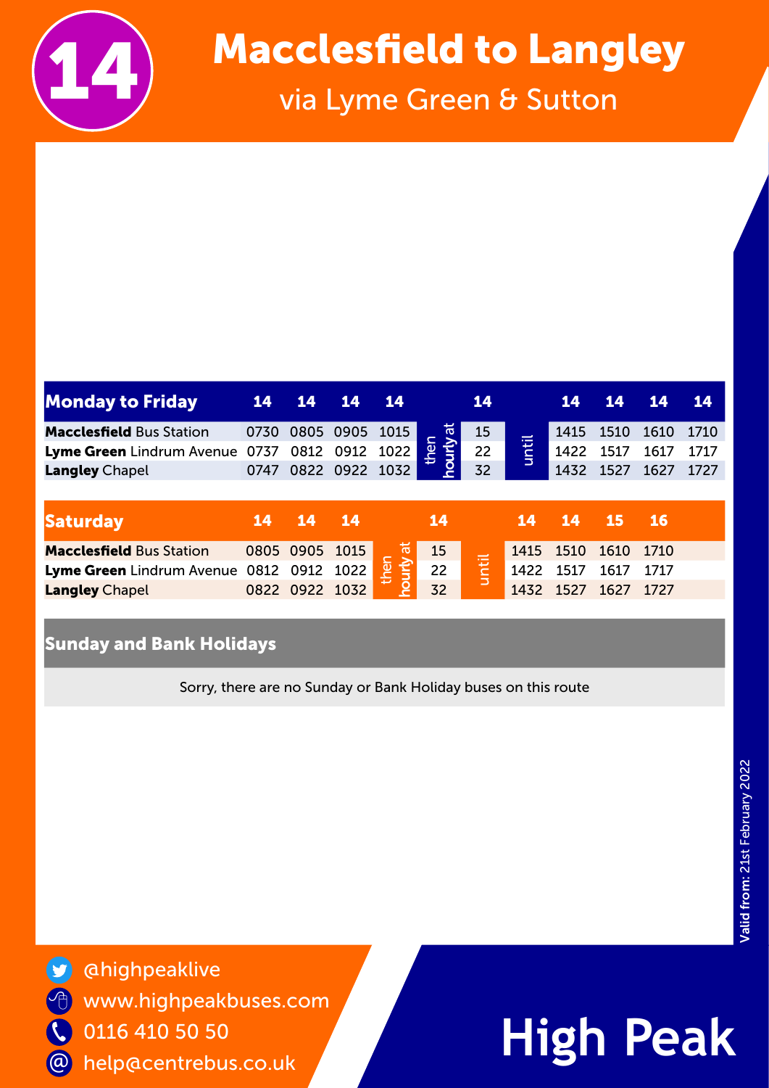

## Macclesfield to Langley<br>via Lyme Green & Sutton

| <b>Monday to Friday</b>         | 14   | 14        | 14             | <b>14</b> |                           | 14    |      | 14   | 14   | 14        | <b>14</b> |
|---------------------------------|------|-----------|----------------|-----------|---------------------------|-------|------|------|------|-----------|-----------|
| <b>Macclesfield Bus Station</b> | 0730 |           | 0805 0905 1015 |           | ᄫ                         | 15    | $=$  | 1415 | 1510 | 1610      | 1710      |
| Lyme Green Lindrum Avenue       | 0737 | 0812      | 0912           | 1022      | <u>ar</u><br><b>Vunou</b> | 22    | unti | 1422 | 1517 | 1617      | 1717      |
| <b>Langley Chapel</b>           | 0747 |           | 0822 0922 1032 |           |                           | 32    |      | 1432 | 1527 | 1627      | 1727      |
|                                 |      |           |                |           |                           |       |      |      |      |           |           |
| <b>Saturday</b>                 | 14   |           |                |           |                           |       |      |      |      |           |           |
|                                 |      | 14        | 14             |           | <b>14</b>                 |       | 14   | 14   | 15   | <b>16</b> |           |
| <b>Macclesfield Bus Station</b> | 0805 | 0905      | 1015           | ᢛ         | 15                        |       | 1415 | 1510 | 1610 | 1710      |           |
| Lyme Green Lindrum Avenue       | 0812 | 0912      | 1022           | len<br>1  | 22                        |       | 1422 | 1517 | 1617 | 1717      |           |
| <b>Langley Chapel</b>           |      | 0822 0922 | 1032           | hourly    | 32                        | until | 1432 | 1527 | 1627 | 1727      |           |

### Sunday and Bank Holidays

Sorry, there are no Sunday or Bank Holiday buses on this route



@highpeaklive www.highpeakbuses.com 0116 410 50 50 help@centrebus.co.uk

## **High Peak**